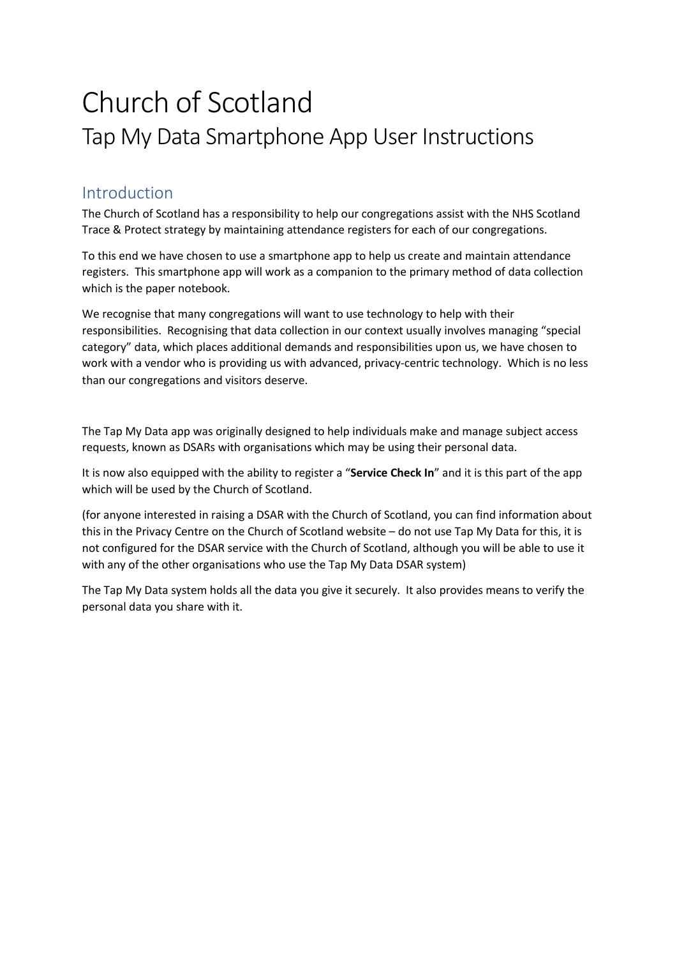# Church of Scotland Tap My Data Smartphone App User Instructions

## Introduction

The Church of Scotland has a responsibility to help our congregations assist with the NHS Scotland Trace & Protect strategy by maintaining attendance registers for each of our congregations.

To this end we have chosen to use a smartphone app to help us create and maintain attendance registers. This smartphone app will work as a companion to the primary method of data collection which is the paper notebook.

We recognise that many congregations will want to use technology to help with their responsibilities. Recognising that data collection in our context usually involves managing "special category" data, which places additional demands and responsibilities upon us, we have chosen to work with a vendor who is providing us with advanced, privacy-centric technology. Which is no less than our congregations and visitors deserve.

The Tap My Data app was originally designed to help individuals make and manage subject access requests, known as DSARs with organisations which may be using their personal data.

It is now also equipped with the ability to register a "**Service Check In**" and it is this part of the app which will be used by the Church of Scotland.

(for anyone interested in raising a DSAR with the Church of Scotland, you can find information about this in the Privacy Centre on the Church of Scotland website – do not use Tap My Data for this, it is not configured for the DSAR service with the Church of Scotland, although you will be able to use it with any of the other organisations who use the Tap My Data DSAR system)

The Tap My Data system holds all the data you give it securely. It also provides means to verify the personal data you share with it.